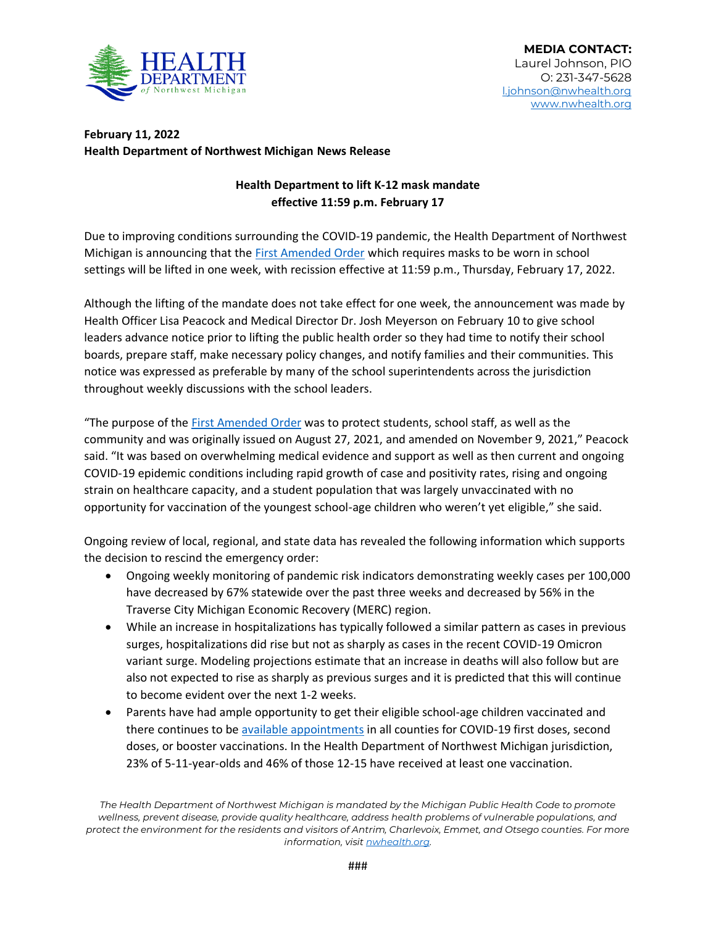

## **February 11, 2022 Health Department of Northwest Michigan News Release**

## **Health Department to lift K-12 mask mandate effective 11:59 p.m. February 17**

Due to improving conditions surrounding the COVID-19 pandemic, the Health Department of Northwest Michigan is announcing that the [First Amended Order](http://nwhealth.org/pubs/HDNW%2011.9.2021%20First%20Amended%20Order.pdf) which requires masks to be worn in school settings will be lifted in one week, with recission effective at 11:59 p.m., Thursday, February 17, 2022.

Although the lifting of the mandate does not take effect for one week, the announcement was made by Health Officer Lisa Peacock and Medical Director Dr. Josh Meyerson on February 10 to give school leaders advance notice prior to lifting the public health order so they had time to notify their school boards, prepare staff, make necessary policy changes, and notify families and their communities. This notice was expressed as preferable by many of the school superintendents across the jurisdiction throughout weekly discussions with the school leaders.

"The purpose of the [First Amended Order](http://nwhealth.org/pubs/HDNW%2011.9.2021%20First%20Amended%20Order.pdf) was to protect students, school staff, as well as the community and was originally issued on August 27, 2021, and amended on November 9, 2021," Peacock said. "It was based on overwhelming medical evidence and support as well as then current and ongoing COVID-19 epidemic conditions including rapid growth of case and positivity rates, rising and ongoing strain on healthcare capacity, and a student population that was largely unvaccinated with no opportunity for vaccination of the youngest school-age children who weren't yet eligible," she said.

Ongoing review of local, regional, and state data has revealed the following information which supports the decision to rescind the emergency order:

- Ongoing weekly monitoring of pandemic risk indicators demonstrating weekly cases per 100,000 have decreased by 67% statewide over the past three weeks and decreased by 56% in the Traverse City Michigan Economic Recovery (MERC) region.
- While an increase in hospitalizations has typically followed a similar pattern as cases in previous surges, hospitalizations did rise but not as sharply as cases in the recent COVID-19 Omicron variant surge. Modeling projections estimate that an increase in deaths will also follow but are also not expected to rise as sharply as previous surges and it is predicted that this will continue to become evident over the next 1-2 weeks.
- Parents have had ample opportunity to get their eligible school-age children vaccinated and there continues to b[e available appointments](http://nwhealth.org/covid19imm.html) in all counties for COVID-19 first doses, second doses, or booster vaccinations. In the Health Department of Northwest Michigan jurisdiction, 23% of 5-11-year-olds and 46% of those 12-15 have received at least one vaccination.

*The Health Department of Northwest Michigan is mandated by the Michigan Public Health Code to promote wellness, prevent disease, provide quality healthcare, address health problems of vulnerable populations, and protect the environment for the residents and visitors of Antrim, Charlevoix, Emmet, and Otsego counties. For more information, visi[t nwhealth.org.](http://nwhealth.org/)*